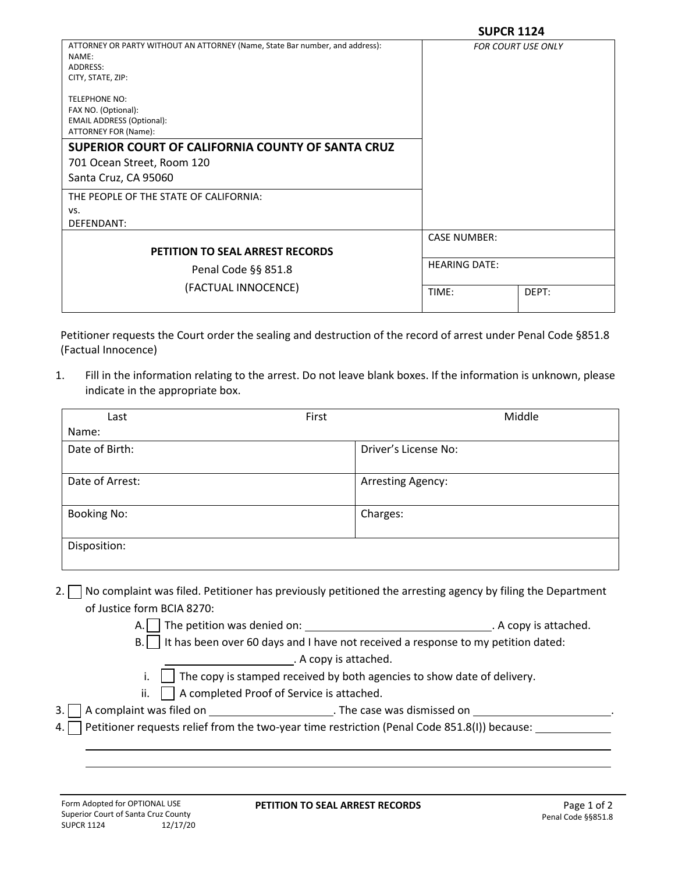| ATTORNEY OR PARTY WITHOUT AN ATTORNEY (Name, State Bar number, and address):<br>NAME:<br>ADDRESS:                                                                                                                  |                      | <b>FOR COURT USE ONLY</b> |
|--------------------------------------------------------------------------------------------------------------------------------------------------------------------------------------------------------------------|----------------------|---------------------------|
| CITY, STATE, ZIP:                                                                                                                                                                                                  |                      |                           |
| <b>TELEPHONE NO:</b><br>FAX NO. (Optional):<br><b>EMAIL ADDRESS (Optional):</b><br>ATTORNEY FOR (Name):<br>SUPERIOR COURT OF CALIFORNIA COUNTY OF SANTA CRUZ<br>701 Ocean Street, Room 120<br>Santa Cruz, CA 95060 |                      |                           |
| THE PEOPLE OF THE STATE OF CALIFORNIA:                                                                                                                                                                             |                      |                           |
| VS.                                                                                                                                                                                                                |                      |                           |
| DEFENDANT:                                                                                                                                                                                                         |                      |                           |
|                                                                                                                                                                                                                    | <b>CASE NUMBER:</b>  |                           |
| <b>PETITION TO SEAL ARREST RECORDS</b>                                                                                                                                                                             |                      |                           |
| Penal Code §§ 851.8                                                                                                                                                                                                | <b>HEARING DATE:</b> |                           |
| (FACTUAL INNOCENCE)                                                                                                                                                                                                | TIME:                | DEPT:                     |
|                                                                                                                                                                                                                    |                      |                           |

Petitioner requests the Court order the sealing and destruction of the record of arrest under Penal Code §851.8 (Factual Innocence)

1. Fill in the information relating to the arrest. Do not leave blank boxes. If the information is unknown, please indicate in the appropriate box.

| Last                                                                                                  | First    | Middle                                                                                                     |  |
|-------------------------------------------------------------------------------------------------------|----------|------------------------------------------------------------------------------------------------------------|--|
| Name:                                                                                                 |          |                                                                                                            |  |
| Date of Birth:                                                                                        |          | Driver's License No:                                                                                       |  |
| Date of Arrest:                                                                                       |          | <b>Arresting Agency:</b>                                                                                   |  |
|                                                                                                       |          |                                                                                                            |  |
| <b>Booking No:</b>                                                                                    | Charges: |                                                                                                            |  |
| Disposition:                                                                                          |          |                                                                                                            |  |
| 2.<br>of Justice form BCIA 8270:                                                                      |          | No complaint was filed. Petitioner has previously petitioned the arresting agency by filing the Department |  |
|                                                                                                       |          |                                                                                                            |  |
| It has been over 60 days and I have not received a response to my petition dated:<br><b>B.</b>        |          |                                                                                                            |  |
| . A copy is attached.                                                                                 |          |                                                                                                            |  |
| The copy is stamped received by both agencies to show date of delivery.                               |          |                                                                                                            |  |
| ii.<br>A completed Proof of Service is attached.                                                      |          |                                                                                                            |  |
| 3.                                                                                                    |          |                                                                                                            |  |
| Petitioner requests relief from the two-year time restriction (Penal Code 851.8(I)) because: __<br>4. |          |                                                                                                            |  |
|                                                                                                       |          |                                                                                                            |  |
|                                                                                                       |          |                                                                                                            |  |